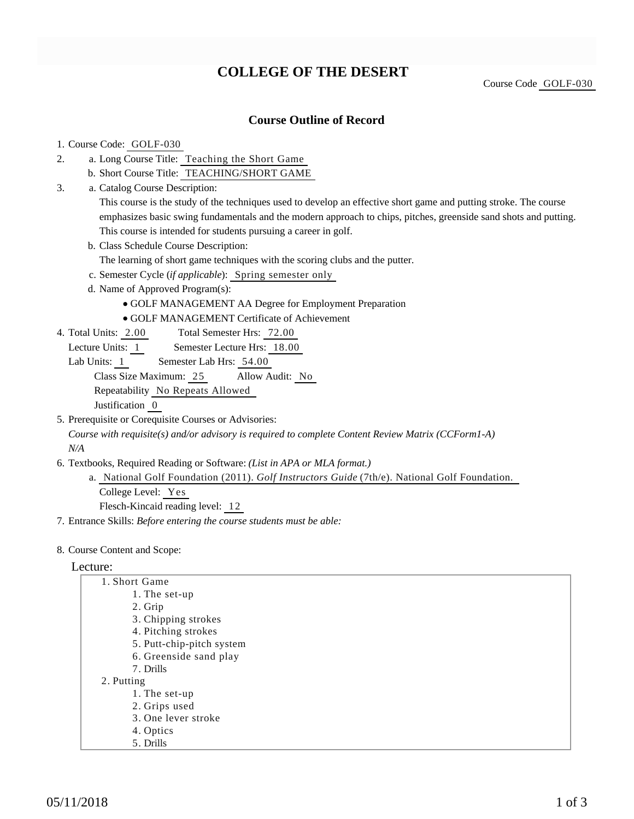# **COLLEGE OF THE DESERT**

Course Code GOLF-030

## **Course Outline of Record**

### 1. Course Code: GOLF-030

- a. Long Course Title: Teaching the Short Game 2.
	- b. Short Course Title: TEACHING/SHORT GAME
- Catalog Course Description: a. 3.

This course is the study of the techniques used to develop an effective short game and putting stroke. The course emphasizes basic swing fundamentals and the modern approach to chips, pitches, greenside sand shots and putting. This course is intended for students pursuing a career in golf.

b. Class Schedule Course Description:

The learning of short game techniques with the scoring clubs and the putter.

- c. Semester Cycle (*if applicable*): Spring semester only
- d. Name of Approved Program(s):
	- GOLF MANAGEMENT AA Degree for Employment Preparation
	- GOLF MANAGEMENT Certificate of Achievement
- Total Semester Hrs: 72.00 4. Total Units: 2.00
	- Lecture Units: 1 Semester Lecture Hrs: 18.00
	- Lab Units: 1 Semester Lab Hrs: 54.00

Class Size Maximum: 25 Allow Audit: No

Repeatability No Repeats Allowed

Justification 0

5. Prerequisite or Corequisite Courses or Advisories: *Course with requisite(s) and/or advisory is required to complete Content Review Matrix (CCForm1-A)*

*N/A*

- 6. Textbooks, Required Reading or Software: (List in APA or MLA format.)
	- a. National Golf Foundation (2011). Golf Instructors Guide (7th/e). National Golf Foundation. College Level: Yes Flesch-Kincaid reading level: 12
- 7. Entrance Skills: *Before entering the course students must be able:*
- 8. Course Content and Scope:

### Lecture:

| 1. Short Game             |
|---------------------------|
| 1. The set-up             |
| 2. Grip                   |
| 3. Chipping strokes       |
| 4. Pitching strokes       |
| 5. Putt-chip-pitch system |
| 6. Greenside sand play    |
| 7. Drills                 |
| 2. Putting                |
| 1. The set-up             |
| 2. Grips used             |
| 3. One lever stroke       |
| 4. Optics                 |
| 5. Drills                 |
|                           |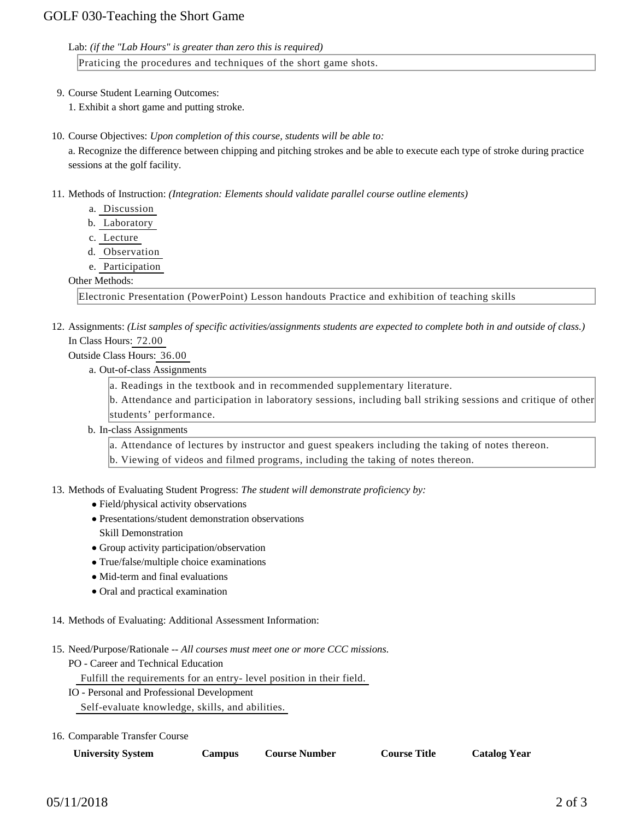Lab: *(if the "Lab Hours" is greater than zero this is required)*

Praticing the procedures and techniques of the short game shots.

9. Course Student Learning Outcomes:

1. Exhibit a short game and putting stroke.

10. Course Objectives: Upon completion of this course, students will be able to:

a. Recognize the difference between chipping and pitching strokes and be able to execute each type of stroke during practice sessions at the golf facility.

- 11. Methods of Instruction: *(Integration: Elements should validate parallel course outline elements)* 
	- a. Discussion
	- b. Laboratory
	- c. Lecture
	- d. Observation
	- e. Participation

### Other Methods:

Electronic Presentation (PowerPoint) Lesson handouts Practice and exhibition of teaching skills

12. Assignments: (List samples of specific activities/assignments students are expected to complete both in and outside of class.) In Class Hours: 72.00

# Outside Class Hours: 36.00

- a. Out-of-class Assignments
	- a. Readings in the textbook and in recommended supplementary literature.

b. Attendance and participation in laboratory sessions, including ball striking sessions and critique of other students' performance.

b. In-class Assignments

a. Attendance of lectures by instructor and guest speakers including the taking of notes thereon.

b. Viewing of videos and filmed programs, including the taking of notes thereon.

13. Methods of Evaluating Student Progress: The student will demonstrate proficiency by:

- Field/physical activity observations
- Presentations/student demonstration observations Skill Demonstration
- Group activity participation/observation
- True/false/multiple choice examinations
- Mid-term and final evaluations
- Oral and practical examination
- 14. Methods of Evaluating: Additional Assessment Information:
- 15. Need/Purpose/Rationale -- All courses must meet one or more CCC missions.
	- PO Career and Technical Education

Fulfill the requirements for an entry- level position in their field.

- IO Personal and Professional Development
	- Self-evaluate knowledge, skills, and abilities.
- 16. Comparable Transfer Course

| <b>University System</b> | <b>Campus</b> | <b>Course Number</b> | <b>Course Title</b> | <b>Catalog Year</b> |
|--------------------------|---------------|----------------------|---------------------|---------------------|
|                          |               |                      |                     |                     |